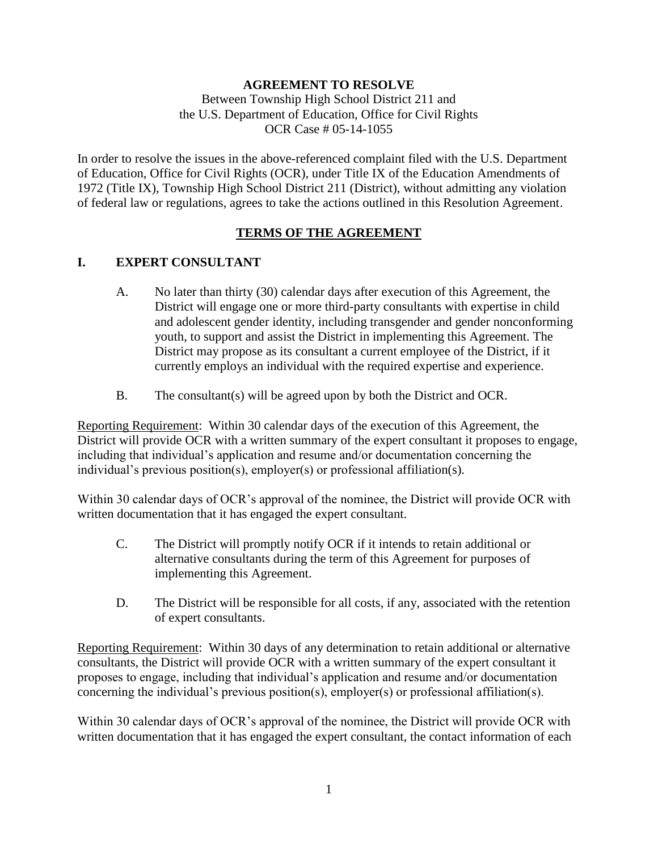## **AGREEMENT TO RESOLVE**

Between Township High School District 211 and the U.S. Department of Education, Office for Civil Rights OCR Case # 05-14-1055

In order to resolve the issues in the above-referenced complaint filed with the U.S. Department of Education, Office for Civil Rights (OCR), under Title IX of the Education Amendments of 1972 (Title IX), Township High School District 211 (District), without admitting any violation of federal law or regulations, agrees to take the actions outlined in this Resolution Agreement.

### **TERMS OF THE AGREEMENT**

### **I. EXPERT CONSULTANT**

- A. No later than thirty (30) calendar days after execution of this Agreement, the District will engage one or more third-party consultants with expertise in child and adolescent gender identity, including transgender and gender nonconforming youth, to support and assist the District in implementing this Agreement. The District may propose as its consultant a current employee of the District, if it currently employs an individual with the required expertise and experience.
- B. The consultant(s) will be agreed upon by both the District and OCR.

Reporting Requirement: Within 30 calendar days of the execution of this Agreement, the District will provide OCR with a written summary of the expert consultant it proposes to engage, including that individual's application and resume and/or documentation concerning the individual's previous position(s), employer(s) or professional affiliation(s).

Within 30 calendar days of OCR's approval of the nominee, the District will provide OCR with written documentation that it has engaged the expert consultant.

- C. The District will promptly notify OCR if it intends to retain additional or alternative consultants during the term of this Agreement for purposes of implementing this Agreement.
- D. The District will be responsible for all costs, if any, associated with the retention of expert consultants.

Reporting Requirement: Within 30 days of any determination to retain additional or alternative consultants, the District will provide OCR with a written summary of the expert consultant it proposes to engage, including that individual's application and resume and/or documentation concerning the individual's previous position(s), employer(s) or professional affiliation(s).

Within 30 calendar days of OCR's approval of the nominee, the District will provide OCR with written documentation that it has engaged the expert consultant, the contact information of each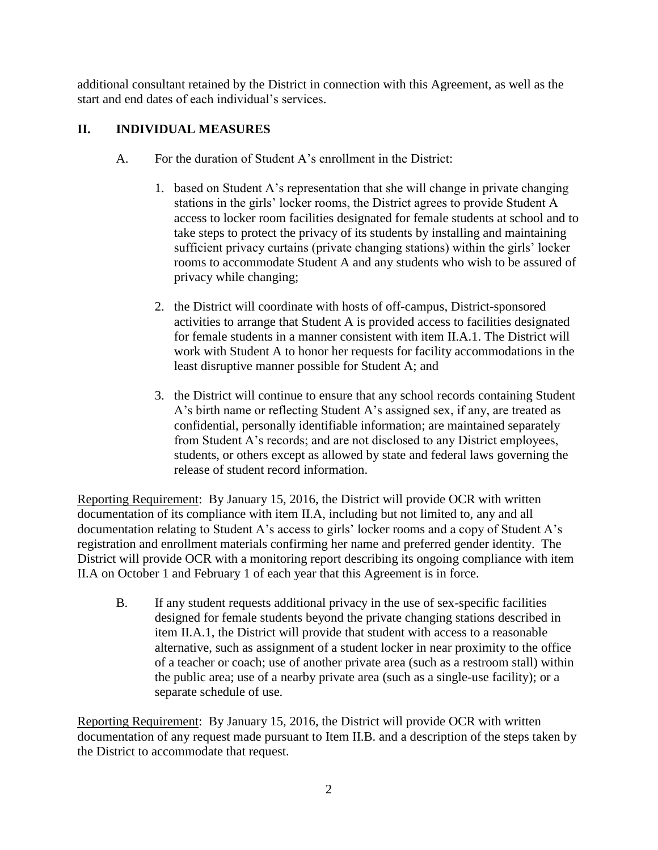additional consultant retained by the District in connection with this Agreement, as well as the start and end dates of each individual's services.

## **II. INDIVIDUAL MEASURES**

- A. For the duration of Student A's enrollment in the District:
	- 1. based on Student A's representation that she will change in private changing stations in the girls' locker rooms, the District agrees to provide Student A access to locker room facilities designated for female students at school and to take steps to protect the privacy of its students by installing and maintaining sufficient privacy curtains (private changing stations) within the girls' locker rooms to accommodate Student A and any students who wish to be assured of privacy while changing;
	- 2. the District will coordinate with hosts of off-campus, District-sponsored activities to arrange that Student A is provided access to facilities designated for female students in a manner consistent with item II.A.1. The District will work with Student A to honor her requests for facility accommodations in the least disruptive manner possible for Student A; and
	- 3. the District will continue to ensure that any school records containing Student A's birth name or reflecting Student A's assigned sex, if any, are treated as confidential, personally identifiable information; are maintained separately from Student A's records; and are not disclosed to any District employees, students, or others except as allowed by state and federal laws governing the release of student record information.

Reporting Requirement: By January 15, 2016, the District will provide OCR with written documentation of its compliance with item II.A, including but not limited to, any and all documentation relating to Student A's access to girls' locker rooms and a copy of Student A's registration and enrollment materials confirming her name and preferred gender identity. The District will provide OCR with a monitoring report describing its ongoing compliance with item II.A on October 1 and February 1 of each year that this Agreement is in force.

B. If any student requests additional privacy in the use of sex-specific facilities designed for female students beyond the private changing stations described in item II.A.1, the District will provide that student with access to a reasonable alternative, such as assignment of a student locker in near proximity to the office of a teacher or coach; use of another private area (such as a restroom stall) within the public area; use of a nearby private area (such as a single-use facility); or a separate schedule of use.

Reporting Requirement: By January 15, 2016, the District will provide OCR with written documentation of any request made pursuant to Item II.B. and a description of the steps taken by the District to accommodate that request.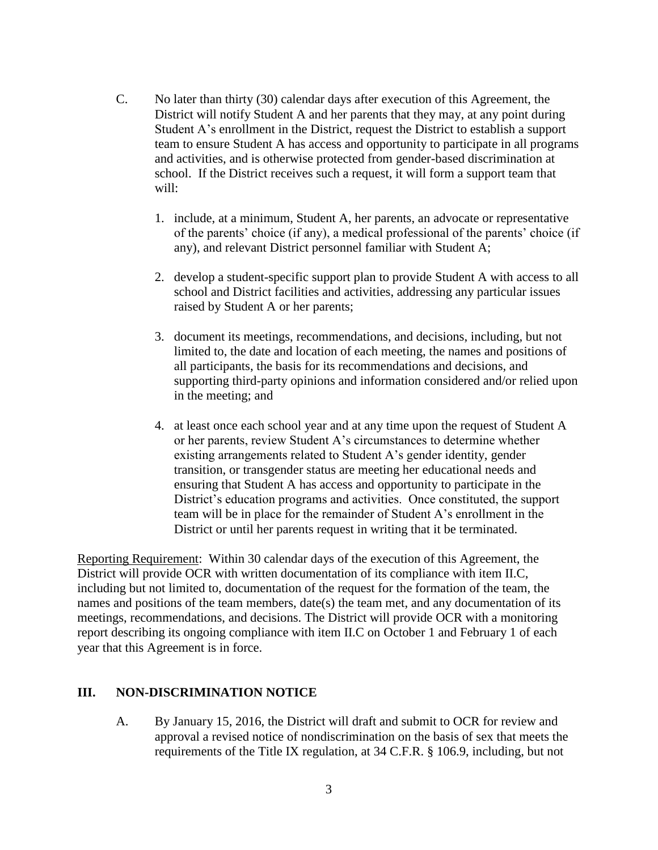- C. No later than thirty (30) calendar days after execution of this Agreement, the District will notify Student A and her parents that they may, at any point during Student A's enrollment in the District, request the District to establish a support team to ensure Student A has access and opportunity to participate in all programs and activities, and is otherwise protected from gender-based discrimination at school. If the District receives such a request, it will form a support team that will:
	- 1. include, at a minimum, Student A, her parents, an advocate or representative of the parents' choice (if any), a medical professional of the parents' choice (if any), and relevant District personnel familiar with Student A;
	- 2. develop a student-specific support plan to provide Student A with access to all school and District facilities and activities, addressing any particular issues raised by Student A or her parents;
	- 3. document its meetings, recommendations, and decisions, including, but not limited to, the date and location of each meeting, the names and positions of all participants, the basis for its recommendations and decisions, and supporting third-party opinions and information considered and/or relied upon in the meeting; and
	- 4. at least once each school year and at any time upon the request of Student A or her parents, review Student A's circumstances to determine whether existing arrangements related to Student A's gender identity, gender transition, or transgender status are meeting her educational needs and ensuring that Student A has access and opportunity to participate in the District's education programs and activities. Once constituted, the support team will be in place for the remainder of Student A's enrollment in the District or until her parents request in writing that it be terminated.

Reporting Requirement: Within 30 calendar days of the execution of this Agreement, the District will provide OCR with written documentation of its compliance with item II.C, including but not limited to, documentation of the request for the formation of the team, the names and positions of the team members, date(s) the team met, and any documentation of its meetings, recommendations, and decisions. The District will provide OCR with a monitoring report describing its ongoing compliance with item II.C on October 1 and February 1 of each year that this Agreement is in force.

## **III. NON-DISCRIMINATION NOTICE**

A. By January 15, 2016, the District will draft and submit to OCR for review and approval a revised notice of nondiscrimination on the basis of sex that meets the requirements of the Title IX regulation, at 34 C.F.R. § 106.9, including, but not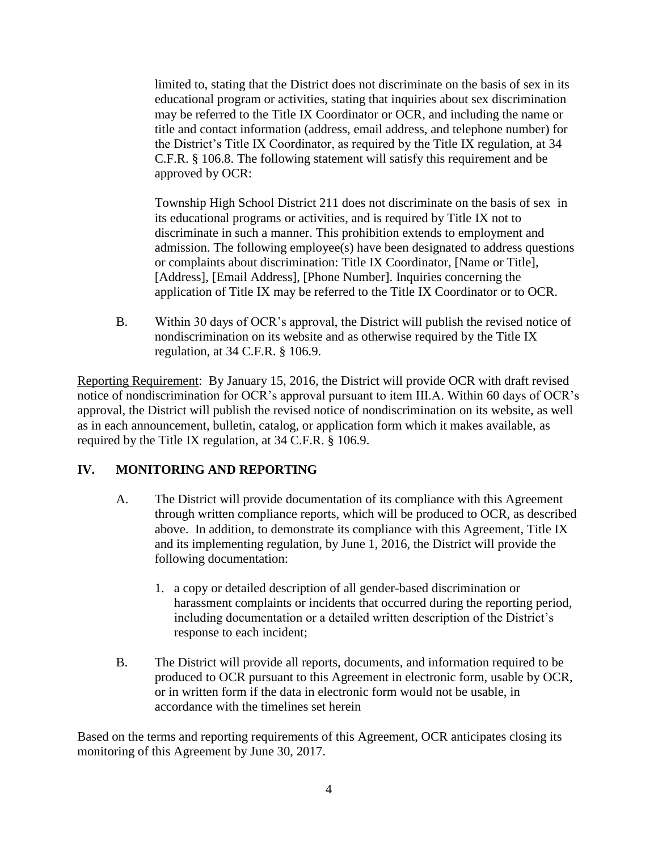limited to, stating that the District does not discriminate on the basis of sex in its educational program or activities, stating that inquiries about sex discrimination may be referred to the Title IX Coordinator or OCR, and including the name or title and contact information (address, email address, and telephone number) for the District's Title IX Coordinator, as required by the Title IX regulation, at 34 C.F.R. § 106.8. The following statement will satisfy this requirement and be approved by OCR:

Township High School District 211 does not discriminate on the basis of sex in its educational programs or activities, and is required by Title IX not to discriminate in such a manner. This prohibition extends to employment and admission. The following employee(s) have been designated to address questions or complaints about discrimination: Title IX Coordinator, [Name or Title], [Address], [Email Address], [Phone Number]. Inquiries concerning the application of Title IX may be referred to the Title IX Coordinator or to OCR.

B. Within 30 days of OCR's approval, the District will publish the revised notice of nondiscrimination on its website and as otherwise required by the Title IX regulation, at 34 C.F.R. § 106.9.

Reporting Requirement: By January 15, 2016, the District will provide OCR with draft revised notice of nondiscrimination for OCR's approval pursuant to item III.A. Within 60 days of OCR's approval, the District will publish the revised notice of nondiscrimination on its website, as well as in each announcement, bulletin, catalog, or application form which it makes available, as required by the Title IX regulation, at 34 C.F.R. § 106.9.

# **IV. MONITORING AND REPORTING**

- A. The District will provide documentation of its compliance with this Agreement through written compliance reports, which will be produced to OCR, as described above. In addition, to demonstrate its compliance with this Agreement, Title IX and its implementing regulation, by June 1, 2016, the District will provide the following documentation:
	- 1. a copy or detailed description of all gender-based discrimination or harassment complaints or incidents that occurred during the reporting period, including documentation or a detailed written description of the District's response to each incident;
- B. The District will provide all reports, documents, and information required to be produced to OCR pursuant to this Agreement in electronic form, usable by OCR, or in written form if the data in electronic form would not be usable, in accordance with the timelines set herein

Based on the terms and reporting requirements of this Agreement, OCR anticipates closing its monitoring of this Agreement by June 30, 2017.